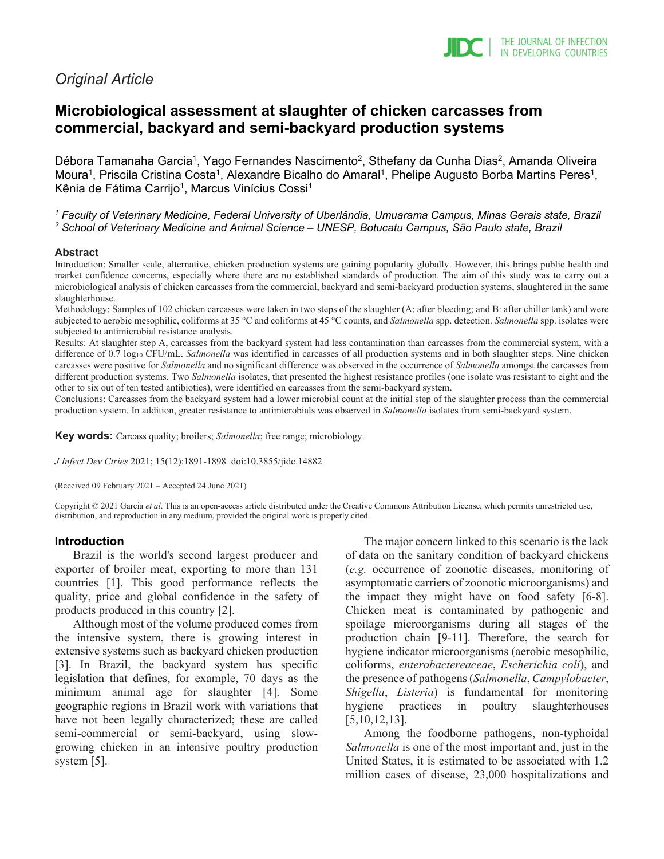# *Original Article*

# **Microbiological assessment at slaughter of chicken carcasses from commercial, backyard and semi-backyard production systems**

Débora Tamanaha Garcia<sup>1</sup>, Yago Fernandes Nascimento<sup>2</sup>, Sthefany da Cunha Dias<sup>2</sup>, Amanda Oliveira Moura<sup>1</sup>, Priscila Cristina Costa<sup>1</sup>, Alexandre Bicalho do Amaral<sup>1</sup>, Phelipe Augusto Borba Martins Peres<sup>1</sup>, Kênia de Fátima Carrijo<sup>1</sup>, Marcus Vinícius Cossi<sup>1</sup>

*<sup>1</sup> Faculty of Veterinary Medicine, Federal University of Uberlândia, Umuarama Campus, Minas Gerais state, Brazil <sup>2</sup> School of Veterinary Medicine and Animal Science – UNESP, Botucatu Campus, São Paulo state, Brazil*

#### **Abstract**

Introduction: Smaller scale, alternative, chicken production systems are gaining popularity globally. However, this brings public health and market confidence concerns, especially where there are no established standards of production. The aim of this study was to carry out a microbiological analysis of chicken carcasses from the commercial, backyard and semi-backyard production systems, slaughtered in the same slaughterhouse.

Methodology: Samples of 102 chicken carcasses were taken in two steps of the slaughter (A: after bleeding; and B: after chiller tank) and were subjected to aerobic mesophilic, coliforms at 35 °C and coliforms at 45 °C counts, and *Salmonella* spp. detection. *Salmonella* spp. isolates were subjected to antimicrobial resistance analysis.

Results: At slaughter step A, carcasses from the backyard system had less contamination than carcasses from the commercial system, with a difference of 0.7 log<sub>10</sub> CFU/mL. *Salmonella* was identified in carcasses of all production systems and in both slaughter steps. Nine chicken carcasses were positive for *Salmonella* and no significant difference was observed in the occurrence of *Salmonella* amongst the carcasses from different production systems. Two *Salmonella* isolates, that presented the highest resistance profiles (one isolate was resistant to eight and the other to six out of ten tested antibiotics), were identified on carcasses from the semi-backyard system.

Conclusions: Carcasses from the backyard system had a lower microbial count at the initial step of the slaughter process than the commercial production system. In addition, greater resistance to antimicrobials was observed in *Salmonella* isolates from semi-backyard system.

**Key words:** Carcass quality; broilers; *Salmonella*; free range; microbiology.

*J Infect Dev Ctries* 2021; 15(12):1891-1898*.* doi:10.3855/jidc.14882

(Received 09 February 2021 – Accepted 24 June 2021)

Copyright © 2021 Garcia *et al*. This is an open-access article distributed under the Creative Commons Attribution License, which permits unrestricted use, distribution, and reproduction in any medium, provided the original work is properly cited.

## **Introduction**

Brazil is the world's second largest producer and exporter of broiler meat, exporting to more than 131 countries [1]. This good performance reflects the quality, price and global confidence in the safety of products produced in this country [2].

Although most of the volume produced comes from the intensive system, there is growing interest in extensive systems such as backyard chicken production [3]. In Brazil, the backyard system has specific legislation that defines, for example, 70 days as the minimum animal age for slaughter [4]. Some geographic regions in Brazil work with variations that have not been legally characterized; these are called semi-commercial or semi-backyard, using slowgrowing chicken in an intensive poultry production system [5].

The major concern linked to this scenario is the lack of data on the sanitary condition of backyard chickens (*e.g.* occurrence of zoonotic diseases, monitoring of asymptomatic carriers of zoonotic microorganisms) and the impact they might have on food safety [6-8]. Chicken meat is contaminated by pathogenic and spoilage microorganisms during all stages of the production chain [9-11]. Therefore, the search for hygiene indicator microorganisms (aerobic mesophilic, coliforms, *enterobactereaceae*, *Escherichia coli*), and the presence of pathogens (*Salmonella*, *Campylobacter*, *Shigella*, *Listeria*) is fundamental for monitoring hygiene practices in poultry slaughterhouses [5,10,12,13].

Among the foodborne pathogens, non-typhoidal *Salmonella* is one of the most important and, just in the United States, it is estimated to be associated with 1.2 million cases of disease, 23,000 hospitalizations and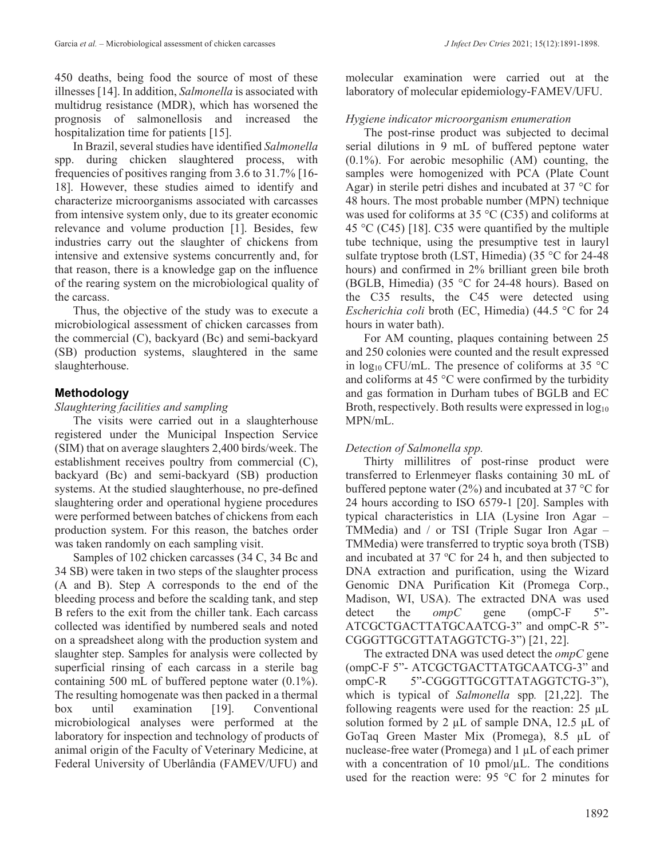450 deaths, being food the source of most of these illnesses [14]. In addition, *Salmonella* is associated with multidrug resistance (MDR), which has worsened the prognosis of salmonellosis and increased the hospitalization time for patients [15].

In Brazil, several studies have identified *Salmonella* spp. during chicken slaughtered process, with frequencies of positives ranging from 3.6 to 31.7% [16- 18]. However, these studies aimed to identify and characterize microorganisms associated with carcasses from intensive system only, due to its greater economic relevance and volume production [1]. Besides, few industries carry out the slaughter of chickens from intensive and extensive systems concurrently and, for that reason, there is a knowledge gap on the influence of the rearing system on the microbiological quality of the carcass.

Thus, the objective of the study was to execute a microbiological assessment of chicken carcasses from the commercial (C), backyard (Bc) and semi-backyard (SB) production systems, slaughtered in the same slaughterhouse.

# **Methodology**

## *Slaughtering facilities and sampling*

The visits were carried out in a slaughterhouse registered under the Municipal Inspection Service (SIM) that on average slaughters 2,400 birds/week. The establishment receives poultry from commercial (C), backyard (Bc) and semi-backyard (SB) production systems. At the studied slaughterhouse, no pre-defined slaughtering order and operational hygiene procedures were performed between batches of chickens from each production system. For this reason, the batches order was taken randomly on each sampling visit.

Samples of 102 chicken carcasses (34 C, 34 Bc and 34 SB) were taken in two steps of the slaughter process (A and B). Step A corresponds to the end of the bleeding process and before the scalding tank, and step B refers to the exit from the chiller tank. Each carcass collected was identified by numbered seals and noted on a spreadsheet along with the production system and slaughter step. Samples for analysis were collected by superficial rinsing of each carcass in a sterile bag containing 500 mL of buffered peptone water (0.1%). The resulting homogenate was then packed in a thermal box until examination [19]. Conventional microbiological analyses were performed at the laboratory for inspection and technology of products of animal origin of the Faculty of Veterinary Medicine, at Federal University of Uberlândia (FAMEV/UFU) and

molecular examination were carried out at the laboratory of molecular epidemiology-FAMEV/UFU.

## *Hygiene indicator microorganism enumeration*

The post-rinse product was subjected to decimal serial dilutions in 9 mL of buffered peptone water (0.1%). For aerobic mesophilic (AM) counting, the samples were homogenized with PCA (Plate Count Agar) in sterile petri dishes and incubated at 37 °C for 48 hours. The most probable number (MPN) technique was used for coliforms at 35  $\degree$ C (C35) and coliforms at 45 °C (C45) [18]. C35 were quantified by the multiple tube technique, using the presumptive test in lauryl sulfate tryptose broth (LST, Himedia) (35 °C for 24-48 hours) and confirmed in 2% brilliant green bile broth (BGLB, Himedia) (35 °C for 24-48 hours). Based on the C35 results, the C45 were detected using *Escherichia coli* broth (EC, Himedia) (44.5 °C for 24 hours in water bath).

For AM counting, plaques containing between 25 and 250 colonies were counted and the result expressed in  $log_{10}$  CFU/mL. The presence of coliforms at 35 °C and coliforms at 45 °C were confirmed by the turbidity and gas formation in Durham tubes of BGLB and EC Broth, respectively. Both results were expressed in  $log_{10}$ MPN/mL.

# *Detection of Salmonella spp.*

Thirty millilitres of post-rinse product were transferred to Erlenmeyer flasks containing 30 mL of buffered peptone water (2%) and incubated at 37 °C for 24 hours according to ISO 6579-1 [20]. Samples with typical characteristics in LIA (Lysine Iron Agar – TMMedia) and / or TSI (Triple Sugar Iron Agar – TMMedia) were transferred to tryptic soya broth (TSB) and incubated at 37  $^{\circ}$ C for 24 h, and then subjected to DNA extraction and purification, using the Wizard Genomic DNA Purification Kit (Promega Corp., Madison, WI, USA). The extracted DNA was used detect the *ompC* gene (ompC-F 5"-ATCGCTGACTTATGCAATCG-3" and ompC-R 5"- CGGGTTGCGTTATAGGTCTG-3") [21, 22].

The extracted DNA was used detect the *ompC* gene (ompC-F 5"- ATCGCTGACTTATGCAATCG-3" and ompC-R  $5$ "-CGGGTTGCGTTATAGGTCTG-3"), which is typical of *Salmonella* spp*.* [21,22]. The following reagents were used for the reaction: 25 µL solution formed by 2  $\mu$ L of sample DNA, 12.5  $\mu$ L of GoTaq Green Master Mix (Promega), 8.5 µL of nuclease-free water (Promega) and 1 µL of each primer with a concentration of 10  $pmol/\mu L$ . The conditions used for the reaction were: 95 °C for 2 minutes for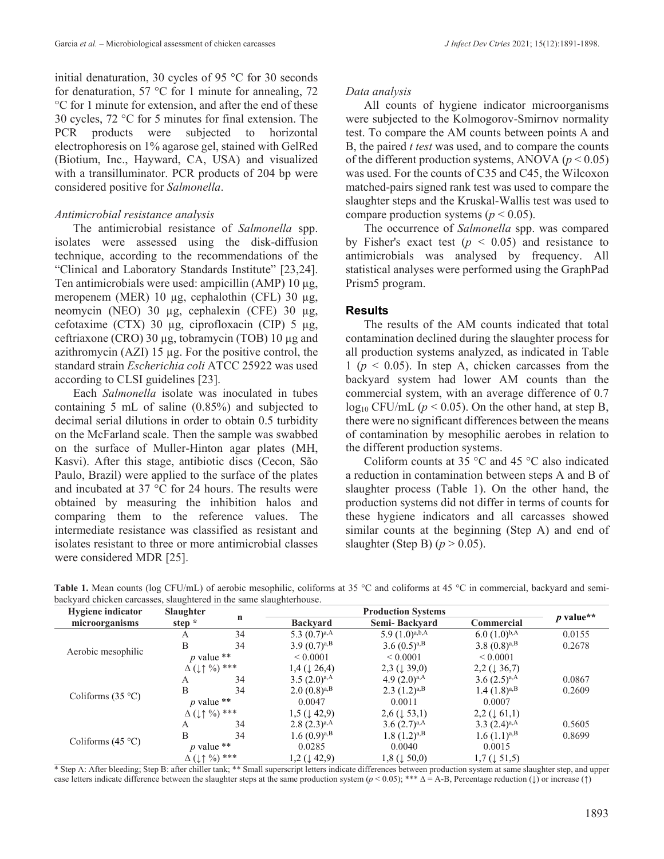initial denaturation, 30 cycles of 95 °C for 30 seconds for denaturation, 57  $\degree$ C for 1 minute for annealing, 72 °C for 1 minute for extension, and after the end of these 30 cycles, 72 °C for 5 minutes for final extension. The PCR products were subjected to horizontal electrophoresis on 1% agarose gel, stained with GelRed (Biotium, Inc., Hayward, CA, USA) and visualized with a transilluminator. PCR products of 204 bp were considered positive for *Salmonella*.

## *Antimicrobial resistance analysis*

The antimicrobial resistance of *Salmonella* spp. isolates were assessed using the disk-diffusion technique, according to the recommendations of the "Clinical and Laboratory Standards Institute" [23,24]. Ten antimicrobials were used: ampicillin  $(AMP)$  10  $\mu$ g, meropenem (MER) 10 µg, cephalothin (CFL) 30 µg, neomycin (NEO) 30 µg, cephalexin (CFE) 30 µg, cefotaxime (CTX) 30 µg, ciprofloxacin (CIP) 5 µg, ceftriaxone (CRO) 30 µg, tobramycin (TOB) 10 µg and azithromycin (AZI) 15 µg. For the positive control, the standard strain *Escherichia coli* ATCC 25922 was used according to CLSI guidelines [23].

Each *Salmonella* isolate was inoculated in tubes containing 5 mL of saline (0.85%) and subjected to decimal serial dilutions in order to obtain 0.5 turbidity on the McFarland scale. Then the sample was swabbed on the surface of Muller-Hinton agar plates (MH, Kasvi). After this stage, antibiotic discs (Cecon, São Paulo, Brazil) were applied to the surface of the plates and incubated at 37 °C for 24 hours. The results were obtained by measuring the inhibition halos and comparing them to the reference values. The intermediate resistance was classified as resistant and isolates resistant to three or more antimicrobial classes were considered MDR [25].

### *Data analysis*

All counts of hygiene indicator microorganisms were subjected to the Kolmogorov-Smirnov normality test. To compare the AM counts between points A and B, the paired *t test* was used, and to compare the counts of the different production systems, ANOVA  $(p < 0.05)$ was used. For the counts of C35 and C45, the Wilcoxon matched-pairs signed rank test was used to compare the slaughter steps and the Kruskal-Wallis test was used to compare production systems ( $p < 0.05$ ).

The occurrence of *Salmonella* spp. was compared by Fisher's exact test  $(p < 0.05)$  and resistance to antimicrobials was analysed by frequency. All statistical analyses were performed using the GraphPad Prism5 program.

## **Results**

The results of the AM counts indicated that total contamination declined during the slaughter process for all production systems analyzed, as indicated in Table  $1 (p \le 0.05)$ . In step A, chicken carcasses from the backyard system had lower AM counts than the commercial system, with an average difference of 0.7  $log_{10}$  CFU/mL ( $p < 0.05$ ). On the other hand, at step B, there were no significant differences between the means of contamination by mesophilic aerobes in relation to the different production systems.

Coliform counts at 35 °C and 45 °C also indicated a reduction in contamination between steps A and B of slaughter process (Table 1). On the other hand, the production systems did not differ in terms of counts for these hygiene indicators and all carcasses showed similar counts at the beginning (Step A) and end of slaughter (Step B)  $(p > 0.05)$ .

| <b>Hygiene</b> indicator | <b>Slaughter</b>                                   |    |                            |                            |                           |             |  |
|--------------------------|----------------------------------------------------|----|----------------------------|----------------------------|---------------------------|-------------|--|
| microorganisms           | step $*$                                           | n  | <b>Backvard</b>            | Semi-Backvard              | Commercial                | $p$ value** |  |
| Aerobic mesophilic       | A                                                  | 34 | 5.3 $(0.7)^{a,A}$          | 5.9 $(1.0)^{a,b,A}$        | $6.0(1.0)^{b,A}$          | 0.0155      |  |
|                          | B                                                  | 34 | 3.9 $(0.7)^{a,B}$          | 3.6 $(0.5)^{a,B}$          | 3.8 $(0.8)^{a,B}$         | 0.2678      |  |
|                          | $p$ value **                                       |    | ${}< 0.0001$               | ${}< 0.0001$               | ${}< 0.0001$              |             |  |
|                          | $\Delta$ ( $\downarrow \uparrow \frac{0}{0}$ ) *** |    | $1,4 \ (\downarrow 26,4)$  | $2,3$ ( $\downarrow$ 39,0) | $2,2 \ (\downarrow 36,7)$ |             |  |
|                          | А                                                  | 34 | $3.5 (2.0)^{a,A}$          | 4.9 $(2.0)^{a,A}$          | $3.6(2.5)^{a,A}$          | 0.0867      |  |
|                          | B                                                  | 34 | $2.0(0.8)^{a,B}$           | $2.3 \ (1.2)^{a,B}$        | $1.4 (1.8)^{a,B}$         | 0.2609      |  |
| Coliforms $(35 °C)$      | p value $**$                                       |    | 0.0047                     | 0.0011                     | 0.0007                    |             |  |
|                          | $\Delta$ ( $\downarrow \uparrow \frac{0}{0}$ ***   |    | $1,5$ ( $\downarrow$ 42,9) | $2,6 \ (\downarrow 53,1)$  | $2,2 \ (\downarrow 61,1)$ |             |  |
|                          | A                                                  | 34 | $2.8 (2.3)^{a,A}$          | $3.6(2.7)^{a,A}$           | 3.3 $(2.4)^{a,A}$         | 0.5605      |  |
|                          | B                                                  | 34 | $1.6(0.9)^{a,B}$           | $1.8(1.2)^{a,B}$           | $1.6 (1.1)^{a,B}$         | 0.8699      |  |
| Coliforms $(45 °C)$      | p value $**$                                       |    | 0.0285                     | 0.0040                     | 0.0015                    |             |  |
|                          | $\Delta$ ( $\downarrow \uparrow$ %) ***            |    | $1,2 \ (\downarrow 42,9)$  | $1,8$ ( $\downarrow$ 50,0) | $1,7 \ (\downarrow 51,5)$ |             |  |

Table 1. Mean counts (log CFU/mL) of aerobic mesophilic, coliforms at 35 °C and coliforms at 45 °C in commercial, backyard and semibackyard chicken carcasses, slaughtered in the same slaughterhouse.

\* Step A: After bleeding; Step B: after chiller tank; \*\* Small superscript letters indicate differences between production system at same slaughter step, and upper case letters indicate difference between the slaughter steps at the same production system (*p* < 0.05); \*\*\* ∆ = A-B, Percentage reduction (↓) or increase (↑)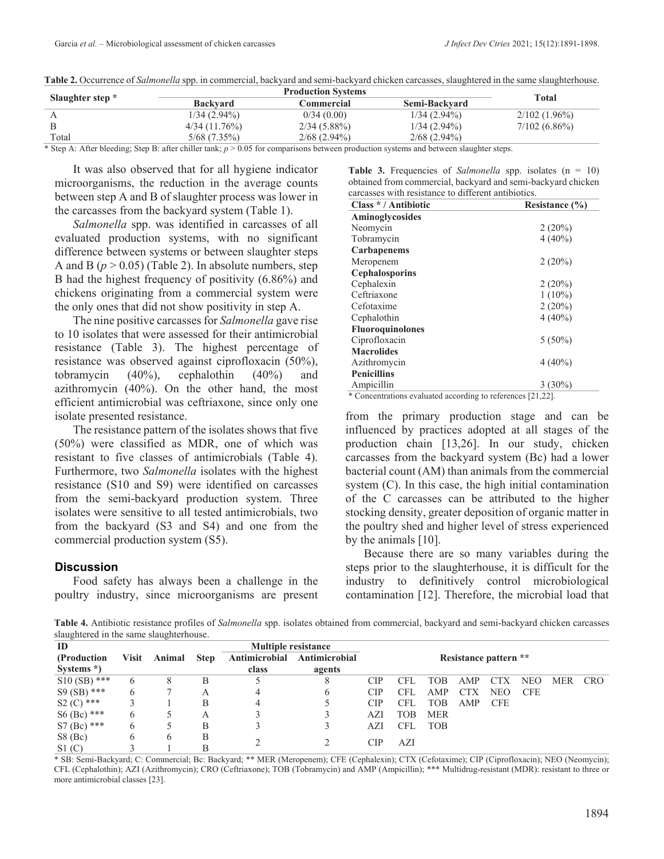|                  |                                                                         | <b>Total</b>   |                                                                     |                 |
|------------------|-------------------------------------------------------------------------|----------------|---------------------------------------------------------------------|-----------------|
| Slaughter step * | <b>Backvard</b>                                                         | Commercial     | Semi-Backvard<br>$1/34(2.94\%)$<br>$1/34(2.94\%)$<br>$2/68$ (2.94%) |                 |
|                  | $1/34(2.94\%)$                                                          | 0/34(0.00)     |                                                                     | $2/102(1.96\%)$ |
|                  | 4/34(11.76%)                                                            | $2/34(5.88\%)$ |                                                                     | $7/102(6.86\%)$ |
| Total            | 5/68 (7.35%)                                                            | $2/68$ (2.94%) |                                                                     |                 |
|                  | $\alpha$ $\alpha$ $\alpha$ $\alpha$ $\alpha$ $\alpha$ $\alpha$ $\alpha$ |                |                                                                     |                 |

**Table 2.** Occurrence of *Salmonella* spp. in commercial, backyard and semi-backyard chicken carcasses, slaughtered in the same slaughterhouse.

\* Step A: After bleeding; Step B: after chiller tank; *p* > 0.05 for comparisons between production systems and between slaughter steps.

It was also observed that for all hygiene indicator microorganisms, the reduction in the average counts between step A and B of slaughter process was lower in the carcasses from the backyard system (Table 1).

*Salmonella* spp. was identified in carcasses of all evaluated production systems, with no significant difference between systems or between slaughter steps A and B  $(p > 0.05)$  (Table 2). In absolute numbers, step B had the highest frequency of positivity (6.86%) and chickens originating from a commercial system were the only ones that did not show positivity in step A.

The nine positive carcasses for *Salmonella* gave rise to 10 isolates that were assessed for their antimicrobial resistance (Table 3). The highest percentage of resistance was observed against ciprofloxacin (50%), tobramycin (40%), cephalothin (40%) and azithromycin (40%). On the other hand, the most efficient antimicrobial was ceftriaxone, since only one isolate presented resistance.

The resistance pattern of the isolates shows that five (50%) were classified as MDR, one of which was resistant to five classes of antimicrobials (Table 4). Furthermore, two *Salmonella* isolates with the highest resistance (S10 and S9) were identified on carcasses from the semi-backyard production system. Three isolates were sensitive to all tested antimicrobials, two from the backyard (S3 and S4) and one from the commercial production system (S5).

### **Discussion**

Food safety has always been a challenge in the poultry industry, since microorganisms are present

**Table 3.** Frequencies of *Salmonella* spp. isolates (n = 10) obtained from commercial, backyard and semi-backyard chicken carcasses with resistance to different antibiotics.

| Class */Antibiotic      | Resistance (%) |
|-------------------------|----------------|
| Aminoglycosides         |                |
| Neomycin                | 2(20%)         |
| Tobramycin              | $4(40\%)$      |
| <b>Carbapenems</b>      |                |
| Meropenem               | 2(20%)         |
| <b>Cephalosporins</b>   |                |
| Cephalexin              | 2(20%)         |
| Ceftriaxone             | $1(10\%)$      |
| Cefotaxime              | 2(20%)         |
| Cephalothin             | $4(40\%)$      |
| <b>Fluoroquinolones</b> |                |
| Ciprofloxacin           | $5(50\%)$      |
| <b>Macrolides</b>       |                |
| Azithromycin            | $4(40\%)$      |
| <b>Penicillins</b>      |                |
| Ampicillin              | $3(30\%)$      |

\* Concentrations evaluated according to references [21,22].

from the primary production stage and can be influenced by practices adopted at all stages of the production chain [13,26]. In our study, chicken carcasses from the backyard system (Bc) had a lower bacterial count (AM) than animals from the commercial system (C). In this case, the high initial contamination of the C carcasses can be attributed to the higher stocking density, greater deposition of organic matter in the poultry shed and higher level of stress experienced by the animals [10].

Because there are so many variables during the steps prior to the slaughterhouse, it is difficult for the industry to definitively control microbiological contamination [12]. Therefore, the microbial load that

**Table 4.** Antibiotic resistance profiles of *Salmonella* spp. isolates obtained from commercial, backyard and semi-backyard chicken carcasses slaughtered in the same slaughterhouse.

| ID            |              |        |             | <b>Multiple resistance</b> |               |                       |            |            |            |            |            |            |            |
|---------------|--------------|--------|-------------|----------------------------|---------------|-----------------------|------------|------------|------------|------------|------------|------------|------------|
| (Production)  | <b>Visit</b> | Animal | <b>Step</b> | Antimicrobial              | Antimicrobial | Resistance pattern ** |            |            |            |            |            |            |            |
| Systems *)    |              |        |             | class                      | agents        |                       |            |            |            |            |            |            |            |
| $S10(SB)$ *** | 6            | 8      | В           |                            | 8             | <b>CIP</b>            | CFL        | TOB        | AMP        | <b>CTX</b> | <b>NEO</b> | <b>MER</b> | <b>CRO</b> |
| $S9(SB)$ ***  | 6            |        | Α           |                            | O             | <b>CIP</b>            | CFL        | AMP        | <b>CTX</b> | <b>NEO</b> | <b>CFE</b> |            |            |
| $S2 (C)$ ***  |              |        | B           | 4                          |               | <b>CIP</b>            | <b>CFL</b> | TOB        | AMP        | <b>CFE</b> |            |            |            |
| $S6$ (Bc) *** | 6            |        | Α           |                            |               | AZI                   | TOB        | <b>MER</b> |            |            |            |            |            |
| $S7 (Bc)$ *** | 6            |        | В           |                            |               | AZI                   | <b>CFL</b> | <b>TOB</b> |            |            |            |            |            |
| $S8$ (Bc)     | 6            | h.     | В           |                            |               | CIP                   |            |            |            |            |            |            |            |
| S1(C)         |              |        | Β           |                            |               |                       | AZI        |            |            |            |            |            |            |

\* SB: Semi-Backyard; C: Commercial; Bc: Backyard; \*\* MER (Meropenem); CFE (Cephalexin); CTX (Cefotaxime); CIP (Ciprofloxacin); NEO (Neomycin); CFL (Cephalothin); AZI (Azithromycin); CRO (Ceftriaxone); TOB (Tobramycin) and AMP (Ampicillin); \*\*\* Multidrug-resistant (MDR): resistant to three or more antimicrobial classes [23].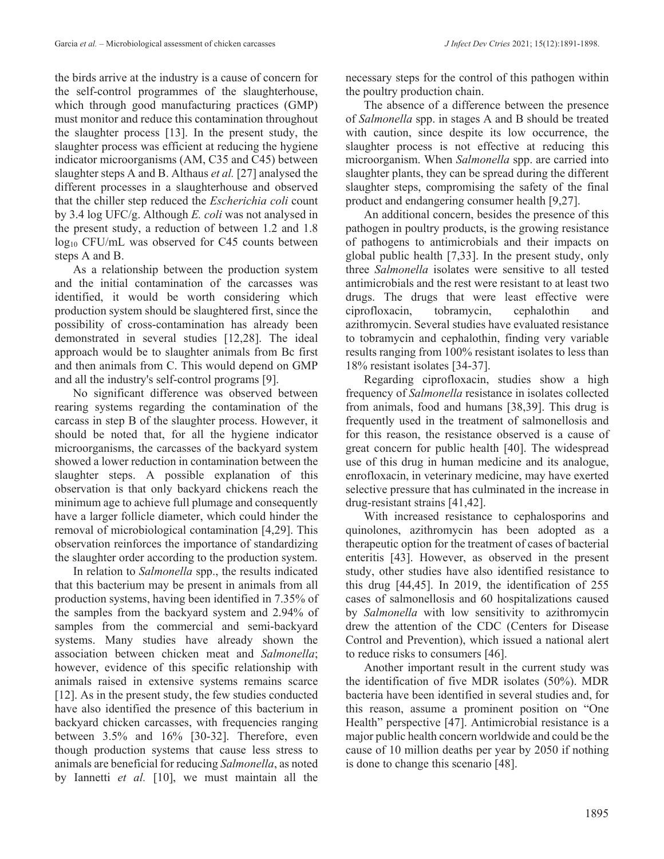the birds arrive at the industry is a cause of concern for the self-control programmes of the slaughterhouse, which through good manufacturing practices (GMP) must monitor and reduce this contamination throughout the slaughter process [13]. In the present study, the slaughter process was efficient at reducing the hygiene indicator microorganisms (AM, C35 and C45) between slaughter steps A and B. Althaus *et al.* [27] analysed the different processes in a slaughterhouse and observed that the chiller step reduced the *Escherichia coli* count by 3.4 log UFC/g. Although *E. coli* was not analysed in the present study, a reduction of between 1.2 and 1.8 log<sub>10</sub> CFU/mL was observed for C45 counts between steps A and B.

As a relationship between the production system and the initial contamination of the carcasses was identified, it would be worth considering which production system should be slaughtered first, since the possibility of cross-contamination has already been demonstrated in several studies [12,28]. The ideal approach would be to slaughter animals from Bc first and then animals from C. This would depend on GMP and all the industry's self-control programs [9].

No significant difference was observed between rearing systems regarding the contamination of the carcass in step B of the slaughter process. However, it should be noted that, for all the hygiene indicator microorganisms, the carcasses of the backyard system showed a lower reduction in contamination between the slaughter steps. A possible explanation of this observation is that only backyard chickens reach the minimum age to achieve full plumage and consequently have a larger follicle diameter, which could hinder the removal of microbiological contamination [4,29]. This observation reinforces the importance of standardizing the slaughter order according to the production system.

In relation to *Salmonella* spp., the results indicated that this bacterium may be present in animals from all production systems, having been identified in 7.35% of the samples from the backyard system and 2.94% of samples from the commercial and semi-backyard systems. Many studies have already shown the association between chicken meat and *Salmonella*; however, evidence of this specific relationship with animals raised in extensive systems remains scarce [12]. As in the present study, the few studies conducted have also identified the presence of this bacterium in backyard chicken carcasses, with frequencies ranging between 3.5% and 16% [30-32]. Therefore, even though production systems that cause less stress to animals are beneficial for reducing *Salmonella*, as noted by Iannetti *et al.* [10], we must maintain all the

necessary steps for the control of this pathogen within the poultry production chain.

The absence of a difference between the presence of *Salmonella* spp. in stages A and B should be treated with caution, since despite its low occurrence, the slaughter process is not effective at reducing this microorganism. When *Salmonella* spp. are carried into slaughter plants, they can be spread during the different slaughter steps, compromising the safety of the final product and endangering consumer health [9,27].

An additional concern, besides the presence of this pathogen in poultry products, is the growing resistance of pathogens to antimicrobials and their impacts on global public health [7,33]. In the present study, only three *Salmonella* isolates were sensitive to all tested antimicrobials and the rest were resistant to at least two drugs. The drugs that were least effective were ciprofloxacin, tobramycin, cephalothin and azithromycin. Several studies have evaluated resistance to tobramycin and cephalothin, finding very variable results ranging from 100% resistant isolates to less than 18% resistant isolates [34-37].

Regarding ciprofloxacin, studies show a high frequency of *Salmonella* resistance in isolates collected from animals, food and humans [38,39]. This drug is frequently used in the treatment of salmonellosis and for this reason, the resistance observed is a cause of great concern for public health [40]. The widespread use of this drug in human medicine and its analogue, enrofloxacin, in veterinary medicine, may have exerted selective pressure that has culminated in the increase in drug-resistant strains [41,42].

With increased resistance to cephalosporins and quinolones, azithromycin has been adopted as a therapeutic option for the treatment of cases of bacterial enteritis [43]. However, as observed in the present study, other studies have also identified resistance to this drug [44,45]. In 2019, the identification of 255 cases of salmonellosis and 60 hospitalizations caused by *Salmonella* with low sensitivity to azithromycin drew the attention of the CDC (Centers for Disease Control and Prevention), which issued a national alert to reduce risks to consumers [46].

Another important result in the current study was the identification of five MDR isolates (50%). MDR bacteria have been identified in several studies and, for this reason, assume a prominent position on "One Health" perspective [47]. Antimicrobial resistance is a major public health concern worldwide and could be the cause of 10 million deaths per year by 2050 if nothing is done to change this scenario [48].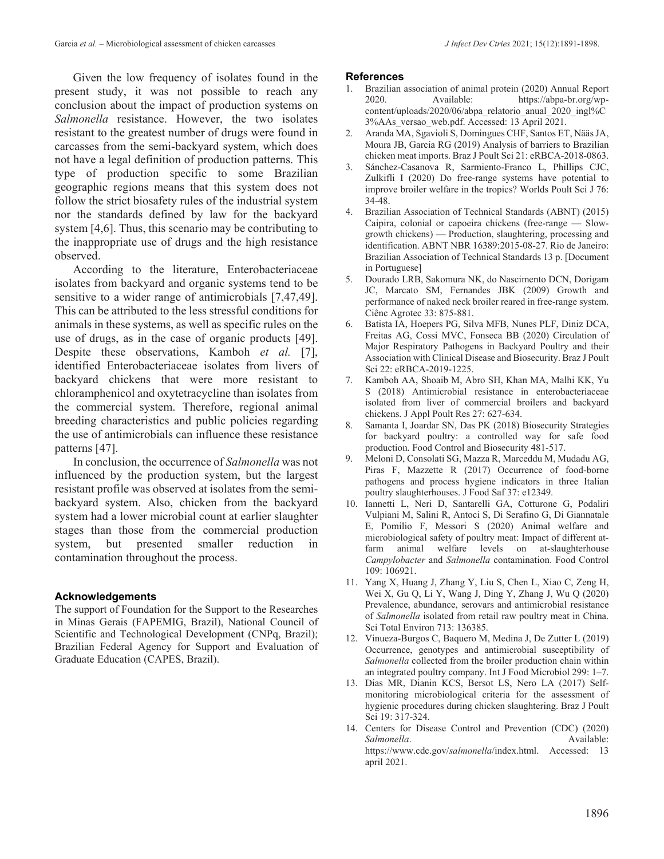Given the low frequency of isolates found in the present study, it was not possible to reach any conclusion about the impact of production systems on *Salmonella* resistance. However, the two isolates resistant to the greatest number of drugs were found in carcasses from the semi-backyard system, which does not have a legal definition of production patterns. This type of production specific to some Brazilian geographic regions means that this system does not follow the strict biosafety rules of the industrial system nor the standards defined by law for the backyard system [4,6]. Thus, this scenario may be contributing to the inappropriate use of drugs and the high resistance observed.

According to the literature, Enterobacteriaceae isolates from backyard and organic systems tend to be sensitive to a wider range of antimicrobials [7,47,49]. This can be attributed to the less stressful conditions for animals in these systems, as well as specific rules on the use of drugs, as in the case of organic products [49]. Despite these observations, Kamboh *et al.* [7], identified Enterobacteriaceae isolates from livers of backyard chickens that were more resistant to chloramphenicol and oxytetracycline than isolates from the commercial system. Therefore, regional animal breeding characteristics and public policies regarding the use of antimicrobials can influence these resistance patterns [47].

In conclusion, the occurrence of *Salmonella* was not influenced by the production system, but the largest resistant profile was observed at isolates from the semibackyard system. Also, chicken from the backyard system had a lower microbial count at earlier slaughter stages than those from the commercial production system, but presented smaller reduction in contamination throughout the process.

#### **Acknowledgements**

The support of Foundation for the Support to the Researches in Minas Gerais (FAPEMIG, Brazil), National Council of Scientific and Technological Development (CNPq, Brazil); Brazilian Federal Agency for Support and Evaluation of Graduate Education (CAPES, Brazil).

#### **References**

- 1. Brazilian association of animal protein (2020) Annual Report 2020. Available: https://abpa-br.org/wpcontent/uploads/2020/06/abpa\_relatorio\_anual\_2020\_ingl%C 3%AAs\_versao\_web.pdf. Accessed: 13 April 2021.
- 2. Aranda MA, Sgavioli S, Domingues CHF, Santos ET, Nääs JA, Moura JB, Garcia RG (2019) Analysis of barriers to Brazilian chicken meat imports. Braz J Poult Sci 21: eRBCA-2018-0863.
- 3. Sánchez-Casanova R, Sarmiento-Franco L, Phillips CJC, Zulkifli I (2020) Do free-range systems have potential to improve broiler welfare in the tropics? Worlds Poult Sci J 76: 34-48.
- 4. Brazilian Association of Technical Standards (ABNT) (2015) Caipira, colonial or capoeira chickens (free-range — Slowgrowth chickens) — Production, slaughtering, processing and identification. ABNT NBR 16389:2015-08-27. Rio de Janeiro: Brazilian Association of Technical Standards 13 p. [Document in Portuguese]
- 5. Dourado LRB, Sakomura NK, do Nascimento DCN, Dorigam JC, Marcato SM, Fernandes JBK (2009) Growth and performance of naked neck broiler reared in free-range system. Ciênc Agrotec 33: 875-881.
- 6. Batista IA, Hoepers PG, Silva MFB, Nunes PLF, Diniz DCA, Freitas AG, Cossi MVC, Fonseca BB (2020) Circulation of Major Respiratory Pathogens in Backyard Poultry and their Association with Clinical Disease and Biosecurity. Braz J Poult Sci 22: eRBCA-2019-1225.
- 7. Kamboh AA, Shoaib M, Abro SH, Khan MA, Malhi KK, Yu S (2018) Antimicrobial resistance in enterobacteriaceae isolated from liver of commercial broilers and backyard chickens. J Appl Poult Res 27: 627-634.
- 8. Samanta I, Joardar SN, Das PK (2018) Biosecurity Strategies for backyard poultry: a controlled way for safe food production. Food Control and Biosecurity 481-517.
- 9. Meloni D, Consolati SG, Mazza R, Marceddu M, Mudadu AG, Piras F, Mazzette R (2017) Occurrence of food-borne pathogens and process hygiene indicators in three Italian poultry slaughterhouses. J Food Saf 37: e12349.
- 10. Iannetti L, Neri D, Santarelli GA, Cotturone G, Podaliri Vulpiani M, Salini R, Antoci S, Di Serafino G, Di Giannatale E, Pomilio F, Messori S (2020) Animal welfare and microbiological safety of poultry meat: Impact of different atfarm animal welfare levels on at-slaughterhouse *Campylobacter* and *Salmonella* contamination. Food Control 109: 106921.
- 11. Yang X, Huang J, Zhang Y, Liu S, Chen L, Xiao C, Zeng H, Wei X, Gu Q, Li Y, Wang J, Ding Y, Zhang J, Wu Q (2020) Prevalence, abundance, serovars and antimicrobial resistance of *Salmonella* isolated from retail raw poultry meat in China. Sci Total Environ 713: 136385.
- 12. Vinueza-Burgos C, Baquero M, Medina J, De Zutter L (2019) Occurrence, genotypes and antimicrobial susceptibility of *Salmonella* collected from the broiler production chain within an integrated poultry company. Int J Food Microbiol 299: 1–7.
- 13. Dias MR, Dianin KCS, Bersot LS, Nero LA (2017) Selfmonitoring microbiological criteria for the assessment of hygienic procedures during chicken slaughtering. Braz J Poult Sci 19: 317-324.
- 14. Centers for Disease Control and Prevention (CDC) (2020)<br>Salmonella. Available: *Salmonella*. Available: https://www.cdc.gov/*salmonella*/index.html. Accessed: 13 april 2021.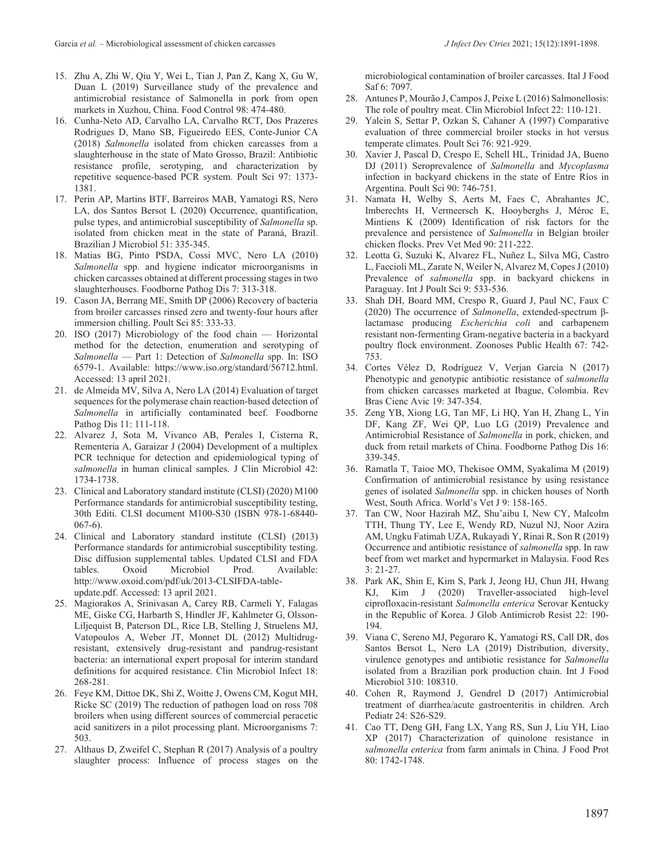- 15. Zhu A, Zhi W, Qiu Y, Wei L, Tian J, Pan Z, Kang X, Gu W, Duan L (2019) Surveillance study of the prevalence and antimicrobial resistance of Salmonella in pork from open markets in Xuzhou, China. Food Control 98: 474-480.
- 16. Cunha-Neto AD, Carvalho LA, Carvalho RCT, Dos Prazeres Rodrigues D, Mano SB, Figueiredo EES, Conte-Junior CA (2018) *Salmonella* isolated from chicken carcasses from a slaughterhouse in the state of Mato Grosso, Brazil: Antibiotic resistance profile, serotyping, and characterization by repetitive sequence-based PCR system. Poult Sci 97: 1373- 1381.
- 17. Perin AP, Martins BTF, Barreiros MAB, Yamatogi RS, Nero LA, dos Santos Bersot L (2020) Occurrence, quantification, pulse types, and antimicrobial susceptibility of *Salmonella* sp. isolated from chicken meat in the state of Paraná, Brazil. Brazilian J Microbiol 51: 335-345.
- 18. Matias BG, Pinto PSDA, Cossi MVC, Nero LA (2010) *Salmonella* spp. and hygiene indicator microorganisms in chicken carcasses obtained at different processing stages in two slaughterhouses. Foodborne Pathog Dis 7: 313-318.
- 19. Cason JA, Berrang ME, Smith DP (2006) Recovery of bacteria from broiler carcasses rinsed zero and twenty-four hours after immersion chilling. Poult Sci 85: 333-33.
- 20. ISO (2017) Microbiology of the food chain Horizontal method for the detection, enumeration and serotyping of *Salmonella* — Part 1: Detection of *Salmonella* spp. In: ISO 6579-1. Available: https://www.iso.org/standard/56712.html. Accessed: 13 april 2021.
- 21. de Almeida MV, Silva A, Nero LA (2014) Evaluation of target sequences for the polymerase chain reaction-based detection of *Salmonella* in artificially contaminated beef. Foodborne Pathog Dis 11: 111-118.
- 22. Alvarez J, Sota M, Vivanco AB, Perales I, Cisterna R, Rementeria A, Garaizar J (2004) Development of a multiplex PCR technique for detection and epidemiological typing of *salmonella* in human clinical samples. J Clin Microbiol 42: 1734-1738.
- 23. Clinical and Laboratory standard institute (CLSI) (2020) M100 Performance standards for antimicrobial susceptibility testing, 30th Editi. CLSI document M100-S30 (ISBN 978-1-68440- 067-6).
- 24. Clinical and Laboratory standard institute (CLSI) (2013) Performance standards for antimicrobial susceptibility testing. Disc diffusion supplemental tables. Updated CLSI and FDA tables. Oxoid Microbiol Prod. Available: http://www.oxoid.com/pdf/uk/2013-CLSIFDA-tableupdate.pdf. Accessed: 13 april 2021.
- 25. Magiorakos A, Srinivasan A, Carey RB, Carmeli Y, Falagas ME, Giske CG, Harbarth S, Hindler JF, Kahlmeter G, Olsson-Liljequist B, Paterson DL, Rice LB, Stelling J, Struelens MJ, Vatopoulos A, Weber JT, Monnet DL (2012) Multidrugresistant, extensively drug-resistant and pandrug-resistant bacteria: an international expert proposal for interim standard definitions for acquired resistance. Clin Microbiol Infect 18: 268-281.
- 26. Feye KM, Dittoe DK, Shi Z, Woitte J, Owens CM, Kogut MH, Ricke SC (2019) The reduction of pathogen load on ross 708 broilers when using different sources of commercial peracetic acid sanitizers in a pilot processing plant. Microorganisms 7: 503.
- 27. Althaus D, Zweifel C, Stephan R (2017) Analysis of a poultry slaughter process: Influence of process stages on the

microbiological contamination of broiler carcasses. Ital J Food Saf 6: 7097.

- 28. Antunes P, Mourão J, Campos J, Peixe L (2016) Salmonellosis: The role of poultry meat. Clin Microbiol Infect 22: 110-121.
- 29. Yalcin S, Settar P, Ozkan S, Cahaner A (1997) Comparative evaluation of three commercial broiler stocks in hot versus temperate climates. Poult Sci 76: 921-929.
- 30. Xavier J, Pascal D, Crespo E, Schell HL, Trinidad JA, Bueno DJ (2011) Seroprevalence of *Salmonella* and *Mycoplasma* infection in backyard chickens in the state of Entre Ríos in Argentina. Poult Sci 90: 746-751.
- 31. Namata H, Welby S, Aerts M, Faes C, Abrahantes JC, Imberechts H, Vermeersch K, Hooyberghs J, Méroc E, Mintiens K (2009) Identification of risk factors for the prevalence and persistence of *Salmonella* in Belgian broiler chicken flocks. Prev Vet Med 90: 211-222.
- 32. Leotta G, Suzuki K, Alvarez FL, Nuñez L, Silva MG, Castro L, Faccioli ML, Zarate N, Weiler N, Alvarez M, Copes J (2010) Prevalence of *salmonella* spp. in backyard chickens in Paraguay. Int J Poult Sci 9: 533-536.
- 33. Shah DH, Board MM, Crespo R, Guard J, Paul NC, Faux C (2020) The occurrence of *Salmonella*, extended-spectrum βlactamase producing *Escherichia coli* and carbapenem resistant non-fermenting Gram-negative bacteria in a backyard poultry flock environment. Zoonoses Public Health 67: 742- 753.
- 34. Cortes Vélez D, Rodríguez V, Verjan García N (2017) Phenotypic and genotypic antibiotic resistance of *salmonella* from chicken carcasses marketed at Ibague, Colombia. Rev Bras Cienc Avic 19: 347-354.
- 35. Zeng YB, Xiong LG, Tan MF, Li HQ, Yan H, Zhang L, Yin DF, Kang ZF, Wei QP, Luo LG (2019) Prevalence and Antimicrobial Resistance of *Salmonella* in pork, chicken, and duck from retail markets of China. Foodborne Pathog Dis 16: 339-345.
- 36. Ramatla T, Taioe MO, Thekisoe OMM, Syakalima M (2019) Confirmation of antimicrobial resistance by using resistance genes of isolated *Salmonella* spp. in chicken houses of North West, South Africa. World's Vet J 9: 158-165.
- 37. Tan CW, Noor Hazirah MZ, Shu'aibu I, New CY, Malcolm TTH, Thung TY, Lee E, Wendy RD, Nuzul NJ, Noor Azira AM, Ungku Fatimah UZA, Rukayadi Y, Rinai R, Son R (2019) Occurrence and antibiotic resistance of *salmonella* spp. In raw beef from wet market and hypermarket in Malaysia. Food Res 3: 21-27.
- 38. Park AK, Shin E, Kim S, Park J, Jeong HJ, Chun JH, Hwang KJ, Kim J (2020) Traveller-associated high-level ciprofloxacin-resistant *Salmonella enterica* Serovar Kentucky in the Republic of Korea. J Glob Antimicrob Resist 22: 190- 194.
- 39. Viana C, Sereno MJ, Pegoraro K, Yamatogi RS, Call DR, dos Santos Bersot L, Nero LA (2019) Distribution, diversity, virulence genotypes and antibiotic resistance for *Salmonella* isolated from a Brazilian pork production chain. Int J Food Microbiol 310: 108310.
- 40. Cohen R, Raymond J, Gendrel D (2017) Antimicrobial treatment of diarrhea/acute gastroenteritis in children. Arch Pediatr 24: S26-S29.
- 41. Cao TT, Deng GH, Fang LX, Yang RS, Sun J, Liu YH, Liao XP (2017) Characterization of quinolone resistance in *salmonella enterica* from farm animals in China. J Food Prot 80: 1742-1748.